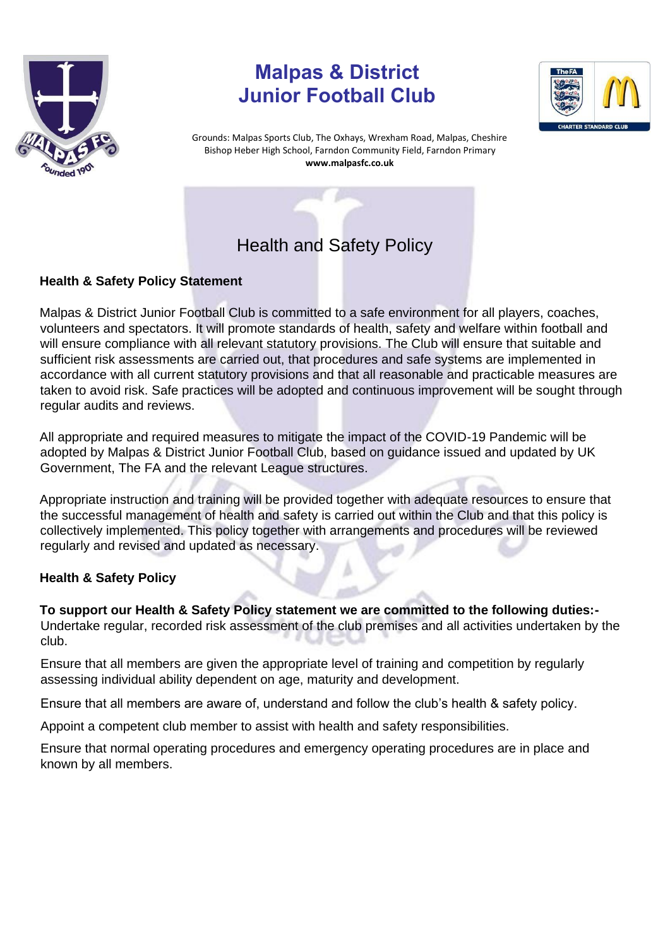

# **Malpas & District Junior Football Club**



Grounds: Malpas Sports Club, The Oxhays, Wrexham Road, Malpas, Cheshire Bishop Heber High School, Farndon Community Field, Farndon Primary **www.malpasfc.co.uk** 



## **Health & Safety Policy Statement**

Malpas & District Junior Football Club is committed to a safe environment for all players, coaches, volunteers and spectators. It will promote standards of health, safety and welfare within football and will ensure compliance with all relevant statutory provisions. The Club will ensure that suitable and sufficient risk assessments are carried out, that procedures and safe systems are implemented in accordance with all current statutory provisions and that all reasonable and practicable measures are taken to avoid risk. Safe practices will be adopted and continuous improvement will be sought through regular audits and reviews.

All appropriate and required measures to mitigate the impact of the COVID-19 Pandemic will be adopted by Malpas & District Junior Football Club, based on guidance issued and updated by UK Government, The FA and the relevant League structures.

Appropriate instruction and training will be provided together with adequate resources to ensure that the successful management of health and safety is carried out within the Club and that this policy is collectively implemented. This policy together with arrangements and procedures will be reviewed regularly and revised and updated as necessary.

## **Health & Safety Policy**

**To support our Health & Safety Policy statement we are committed to the following duties:-** Undertake regular, recorded risk assessment of the club premises and all activities undertaken by the club.

Ensure that all members are given the appropriate level of training and competition by regularly assessing individual ability dependent on age, maturity and development.

Ensure that all members are aware of, understand and follow the club's health & safety policy.

Appoint a competent club member to assist with health and safety responsibilities.

Ensure that normal operating procedures and emergency operating procedures are in place and known by all members.